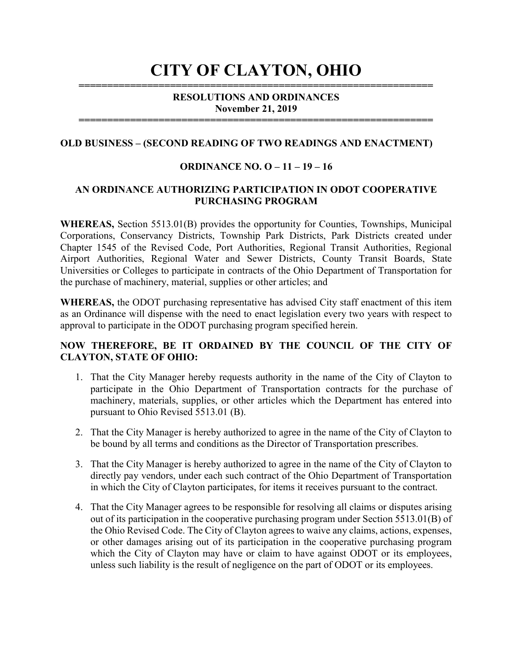# CITY OF CLAYTON, OHIO ==============================================================

# RESOLUTIONS AND ORDINANCES November 21, 2019

==============================================================

# OLD BUSINESS – (SECOND READING OF TWO READINGS AND ENACTMENT)

# ORDINANCE NO. O – 11 – 19 – 16

# AN ORDINANCE AUTHORIZING PARTICIPATION IN ODOT COOPERATIVE PURCHASING PROGRAM

WHEREAS, Section 5513.01(B) provides the opportunity for Counties, Townships, Municipal Corporations, Conservancy Districts, Township Park Districts, Park Districts created under Chapter 1545 of the Revised Code, Port Authorities, Regional Transit Authorities, Regional Airport Authorities, Regional Water and Sewer Districts, County Transit Boards, State Universities or Colleges to participate in contracts of the Ohio Department of Transportation for the purchase of machinery, material, supplies or other articles; and

WHEREAS, the ODOT purchasing representative has advised City staff enactment of this item as an Ordinance will dispense with the need to enact legislation every two years with respect to approval to participate in the ODOT purchasing program specified herein.

### NOW THEREFORE, BE IT ORDAINED BY THE COUNCIL OF THE CITY OF CLAYTON, STATE OF OHIO:

- 1. That the City Manager hereby requests authority in the name of the City of Clayton to participate in the Ohio Department of Transportation contracts for the purchase of machinery, materials, supplies, or other articles which the Department has entered into pursuant to Ohio Revised 5513.01 (B).
- 2. That the City Manager is hereby authorized to agree in the name of the City of Clayton to be bound by all terms and conditions as the Director of Transportation prescribes.
- 3. That the City Manager is hereby authorized to agree in the name of the City of Clayton to directly pay vendors, under each such contract of the Ohio Department of Transportation in which the City of Clayton participates, for items it receives pursuant to the contract.
- 4. That the City Manager agrees to be responsible for resolving all claims or disputes arising out of its participation in the cooperative purchasing program under Section 5513.01(B) of the Ohio Revised Code. The City of Clayton agrees to waive any claims, actions, expenses, or other damages arising out of its participation in the cooperative purchasing program which the City of Clayton may have or claim to have against ODOT or its employees, unless such liability is the result of negligence on the part of ODOT or its employees.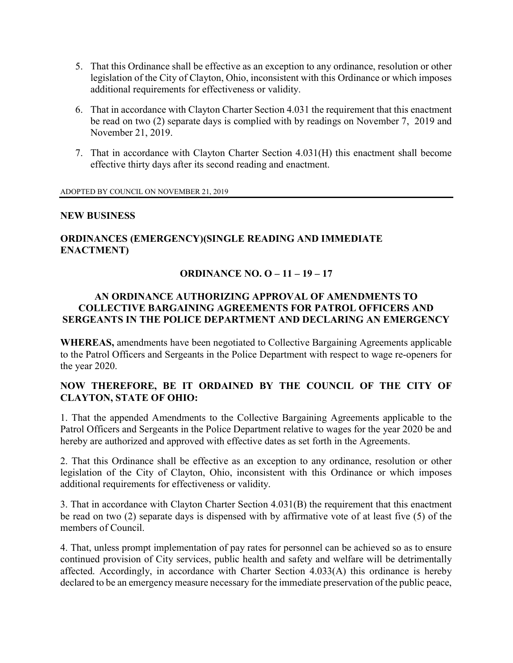- 5. That this Ordinance shall be effective as an exception to any ordinance, resolution or other legislation of the City of Clayton, Ohio, inconsistent with this Ordinance or which imposes additional requirements for effectiveness or validity.
- 6. That in accordance with Clayton Charter Section 4.031 the requirement that this enactment be read on two (2) separate days is complied with by readings on November 7, 2019 and November 21, 2019.
- 7. That in accordance with Clayton Charter Section 4.031(H) this enactment shall become effective thirty days after its second reading and enactment.

ADOPTED BY COUNCIL ON NOVEMBER 21, 2019

#### NEW BUSINESS

# ORDINANCES (EMERGENCY)(SINGLE READING AND IMMEDIATE ENACTMENT)

### ORDINANCE NO. O – 11 – 19 – 17

### AN ORDINANCE AUTHORIZING APPROVAL OF AMENDMENTS TO COLLECTIVE BARGAINING AGREEMENTS FOR PATROL OFFICERS AND SERGEANTS IN THE POLICE DEPARTMENT AND DECLARING AN EMERGENCY

WHEREAS, amendments have been negotiated to Collective Bargaining Agreements applicable to the Patrol Officers and Sergeants in the Police Department with respect to wage re-openers for the year 2020.

# NOW THEREFORE, BE IT ORDAINED BY THE COUNCIL OF THE CITY OF CLAYTON, STATE OF OHIO:

1. That the appended Amendments to the Collective Bargaining Agreements applicable to the Patrol Officers and Sergeants in the Police Department relative to wages for the year 2020 be and hereby are authorized and approved with effective dates as set forth in the Agreements.

2. That this Ordinance shall be effective as an exception to any ordinance, resolution or other legislation of the City of Clayton, Ohio, inconsistent with this Ordinance or which imposes additional requirements for effectiveness or validity.

3. That in accordance with Clayton Charter Section 4.031(B) the requirement that this enactment be read on two (2) separate days is dispensed with by affirmative vote of at least five (5) of the members of Council.

4. That, unless prompt implementation of pay rates for personnel can be achieved so as to ensure continued provision of City services, public health and safety and welfare will be detrimentally affected. Accordingly, in accordance with Charter Section 4.033(A) this ordinance is hereby declared to be an emergency measure necessary for the immediate preservation of the public peace,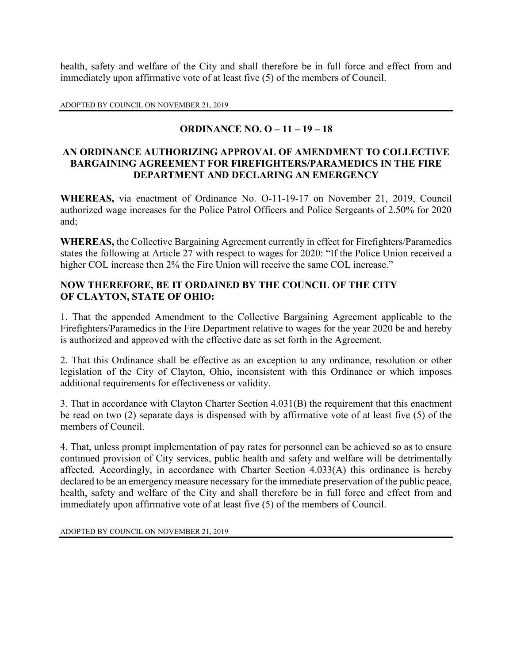health, safety and welfare of the City and shall therefore be in full force and effect from and immediately upon affirmative vote of at least five (5) of the members of Council.

ADOPTED BY COUNCIL ON NOVEMBER 21, 2019

# ORDINANCE NO. O – 11 – 19 – 18

# AN ORDINANCE AUTHORIZING APPROVAL OF AMENDMENT TO COLLECTIVE BARGAINING AGREEMENT FOR FIREFIGHTERS/PARAMEDICS IN THE FIRE DEPARTMENT AND DECLARING AN EMERGENCY

WHEREAS, via enactment of Ordinance No. O-11-19-17 on November 21, 2019, Council authorized wage increases for the Police Patrol Officers and Police Sergeants of 2.50% for 2020 and;

WHEREAS, the Collective Bargaining Agreement currently in effect for Firefighters/Paramedics states the following at Article 27 with respect to wages for 2020: "If the Police Union received a higher COL increase then 2% the Fire Union will receive the same COL increase."

# NOW THEREFORE, BE IT ORDAINED BY THE COUNCIL OF THE CITY OF CLAYTON, STATE OF OHIO:

1. That the appended Amendment to the Collective Bargaining Agreement applicable to the Firefighters/Paramedics in the Fire Department relative to wages for the year 2020 be and hereby is authorized and approved with the effective date as set forth in the Agreement.

2. That this Ordinance shall be effective as an exception to any ordinance, resolution or other legislation of the City of Clayton, Ohio, inconsistent with this Ordinance or which imposes additional requirements for effectiveness or validity.

3. That in accordance with Clayton Charter Section 4.031(B) the requirement that this enactment be read on two (2) separate days is dispensed with by affirmative vote of at least five (5) of the members of Council.

4. That, unless prompt implementation of pay rates for personnel can be achieved so as to ensure continued provision of City services, public health and safety and welfare will be detrimentally affected. Accordingly, in accordance with Charter Section 4.033(A) this ordinance is hereby declared to be an emergency measure necessary for the immediate preservation of the public peace, health, safety and welfare of the City and shall therefore be in full force and effect from and immediately upon affirmative vote of at least five (5) of the members of Council.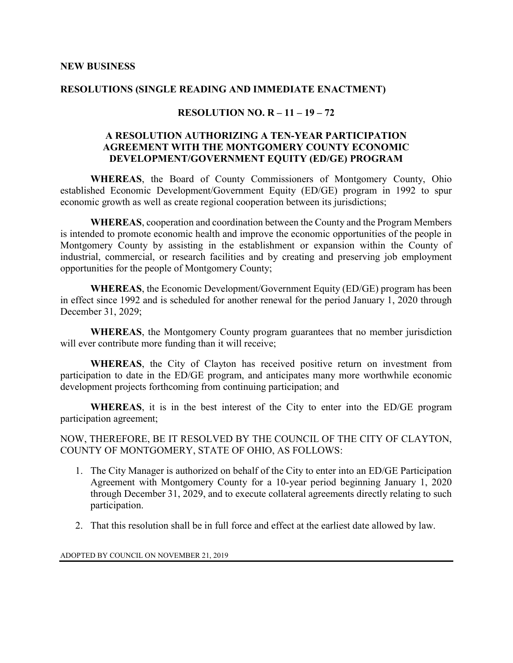#### RESOLUTIONS (SINGLE READING AND IMMEDIATE ENACTMENT)

# RESOLUTION NO.  $R - 11 - 19 - 72$

# A RESOLUTION AUTHORIZING A TEN-YEAR PARTICIPATION AGREEMENT WITH THE MONTGOMERY COUNTY ECONOMIC DEVELOPMENT/GOVERNMENT EQUITY (ED/GE) PROGRAM

WHEREAS, the Board of County Commissioners of Montgomery County, Ohio established Economic Development/Government Equity (ED/GE) program in 1992 to spur economic growth as well as create regional cooperation between its jurisdictions;

WHEREAS, cooperation and coordination between the County and the Program Members is intended to promote economic health and improve the economic opportunities of the people in Montgomery County by assisting in the establishment or expansion within the County of industrial, commercial, or research facilities and by creating and preserving job employment opportunities for the people of Montgomery County;

WHEREAS, the Economic Development/Government Equity (ED/GE) program has been in effect since 1992 and is scheduled for another renewal for the period January 1, 2020 through December 31, 2029;

WHEREAS, the Montgomery County program guarantees that no member jurisdiction will ever contribute more funding than it will receive;

WHEREAS, the City of Clayton has received positive return on investment from participation to date in the ED/GE program, and anticipates many more worthwhile economic development projects forthcoming from continuing participation; and

WHEREAS, it is in the best interest of the City to enter into the ED/GE program participation agreement;

NOW, THEREFORE, BE IT RESOLVED BY THE COUNCIL OF THE CITY OF CLAYTON, COUNTY OF MONTGOMERY, STATE OF OHIO, AS FOLLOWS:

- 1. The City Manager is authorized on behalf of the City to enter into an ED/GE Participation Agreement with Montgomery County for a 10-year period beginning January 1, 2020 through December 31, 2029, and to execute collateral agreements directly relating to such participation.
- 2. That this resolution shall be in full force and effect at the earliest date allowed by law.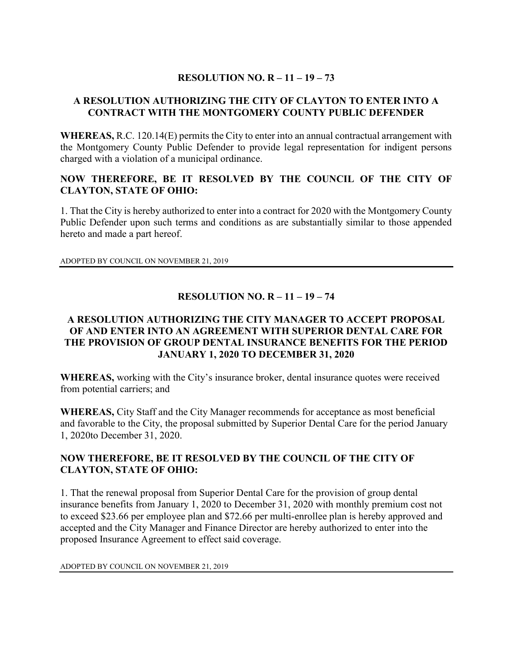# RESOLUTION NO.  $R - 11 - 19 - 73$

# A RESOLUTION AUTHORIZING THE CITY OF CLAYTON TO ENTER INTO A CONTRACT WITH THE MONTGOMERY COUNTY PUBLIC DEFENDER

WHEREAS, R.C. 120.14(E) permits the City to enter into an annual contractual arrangement with the Montgomery County Public Defender to provide legal representation for indigent persons charged with a violation of a municipal ordinance.

# NOW THEREFORE, BE IT RESOLVED BY THE COUNCIL OF THE CITY OF CLAYTON, STATE OF OHIO:

1. That the City is hereby authorized to enter into a contract for 2020 with the Montgomery County Public Defender upon such terms and conditions as are substantially similar to those appended hereto and made a part hereof.

ADOPTED BY COUNCIL ON NOVEMBER 21, 2019

# RESOLUTION NO. R – 11 – 19 – 74

# A RESOLUTION AUTHORIZING THE CITY MANAGER TO ACCEPT PROPOSAL OF AND ENTER INTO AN AGREEMENT WITH SUPERIOR DENTAL CARE FOR THE PROVISION OF GROUP DENTAL INSURANCE BENEFITS FOR THE PERIOD JANUARY 1, 2020 TO DECEMBER 31, 2020

WHEREAS, working with the City's insurance broker, dental insurance quotes were received from potential carriers; and

WHEREAS, City Staff and the City Manager recommends for acceptance as most beneficial and favorable to the City, the proposal submitted by Superior Dental Care for the period January 1, 2020to December 31, 2020.

# NOW THEREFORE, BE IT RESOLVED BY THE COUNCIL OF THE CITY OF CLAYTON, STATE OF OHIO:

1. That the renewal proposal from Superior Dental Care for the provision of group dental insurance benefits from January 1, 2020 to December 31, 2020 with monthly premium cost not to exceed \$23.66 per employee plan and \$72.66 per multi-enrollee plan is hereby approved and accepted and the City Manager and Finance Director are hereby authorized to enter into the proposed Insurance Agreement to effect said coverage.